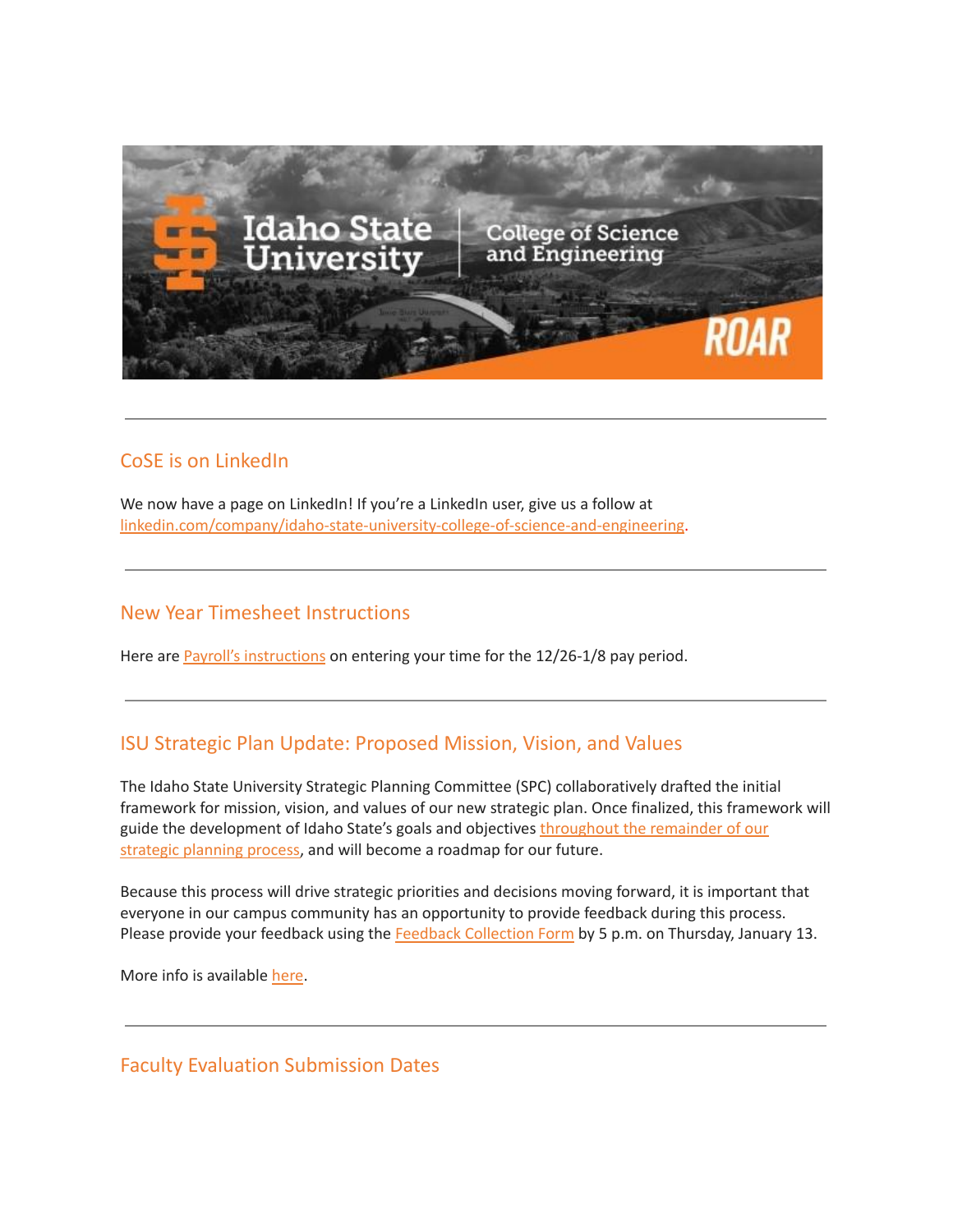

## CoSE is on LinkedIn

We now have a page on LinkedIn! If you're a LinkedIn user, give us a follow at [linkedin.com/company/idaho-state-university-college-of-science-and-engineering.](https://www.linkedin.com/company/idaho-state-university-college-of-science-and-engineering)

#### New Year Timesheet Instructions

Here are Payroll's [instructions](https://myemail.constantcontact.com/New-Year-Timesheet-Instructions.html?soid=1127399030149&aid=H4-ONYNYDEY) on entering your time for the 12/26-1/8 pay period.

## ISU Strategic Plan Update: Proposed Mission, Vision, and Values

The Idaho State University Strategic Planning Committee (SPC) collaboratively drafted the initial framework for mission, vision, and values of our new strategic plan. Once finalized, this framework will guide the development of Idaho State's goals and objectives [throughout](https://www.isu.edu/strategicplan/) the remainder of our strategic [planning](https://www.isu.edu/strategicplan/) process, and will become a roadmap for our future.

Because this process will drive strategic priorities and decisions moving forward, it is important that everyone in our campus community has an opportunity to provide feedback during this process. Please provide your feedback using the Feedback [Collection](https://isu.co1.qualtrics.com/jfe/form/SV_8HUtwHZxfrMze8C) Form by 5 p.m. on Thursday, January 13.

More info is available [here](https://myemail.constantcontact.com/Strategic-Plan-Update--Proposed-Mission--Vision--and-Values.html?soid=1127399030149&aid=BqI0VRkj2yA).

## Faculty Evaluation Submission Dates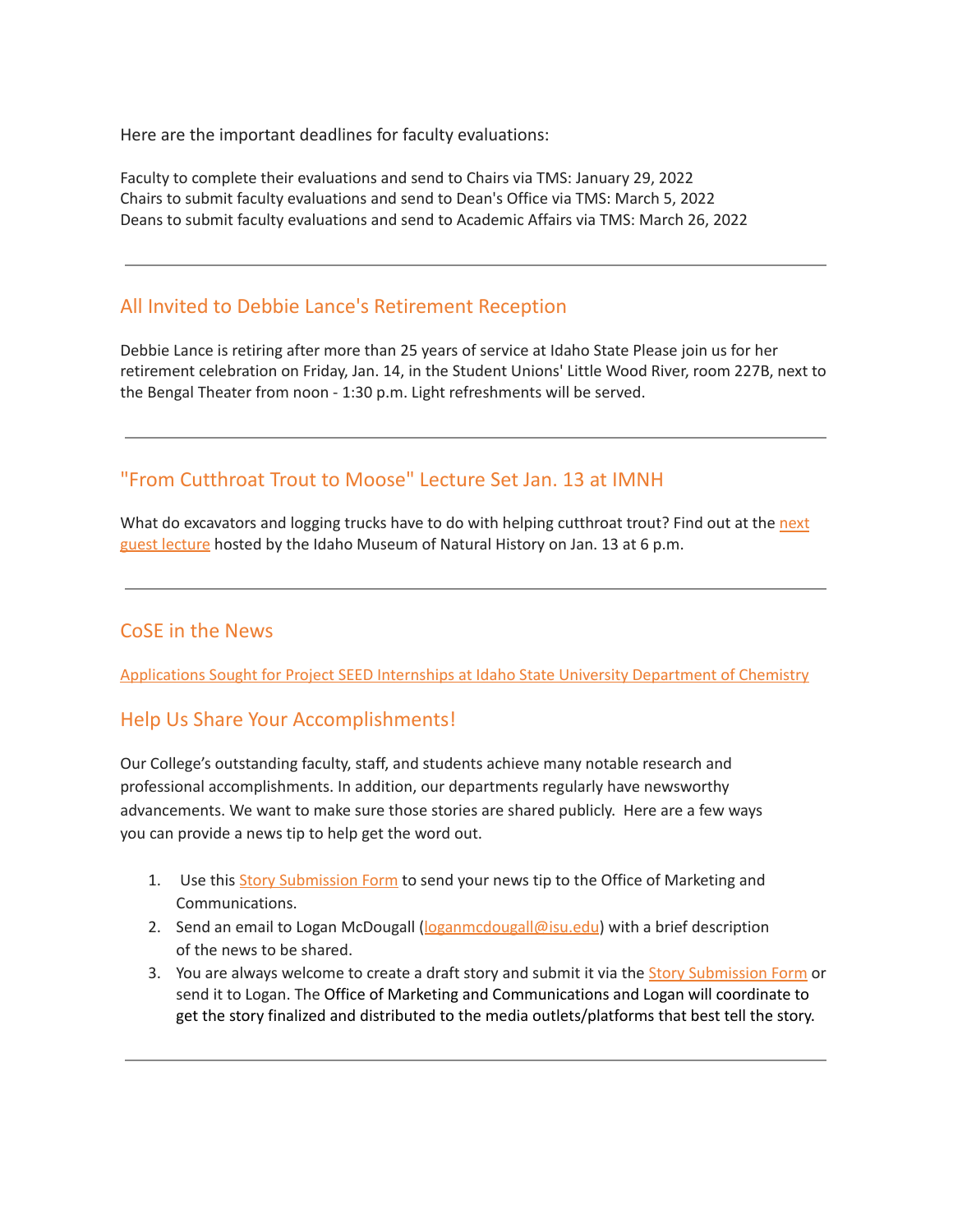Here are the important deadlines for faculty evaluations:

Faculty to complete their evaluations and send to Chairs via TMS: January 29, 2022 Chairs to submit faculty evaluations and send to Dean's Office via TMS: March 5, 2022 Deans to submit faculty evaluations and send to Academic Affairs via TMS: March 26, 2022

#### All Invited to Debbie Lance's Retirement Reception

Debbie Lance is retiring after more than 25 years of service at Idaho State Please join us for her retirement celebration on Friday, Jan. 14, in the Student Unions' Little Wood River, room 227B, next to the Bengal Theater from noon - 1:30 p.m. Light refreshments will be served.

## "From Cutthroat Trout to Moose" Lecture Set Jan. 13 at IMNH

What do excavators and logging trucks have to do with helping cutthroat trout? Find out at the [next](https://www.isu.edu/news/2021-fall/from-cutthroat-trout-to-moose-lecture-set-jan-13-at-idaho-museum-of-natural-history.html) guest [lecture](https://www.isu.edu/news/2021-fall/from-cutthroat-trout-to-moose-lecture-set-jan-13-at-idaho-museum-of-natural-history.html) hosted by the Idaho Museum of Natural History on Jan. 13 at 6 p.m.

## CoSE in the News

[Applications](https://www.isu.edu/news/2022-spring/applications-sought-for-project-seed-internships-at-idaho-state-university-department-of-chemistry.html) Sought for Project SEED Internships at Idaho State University Department of Chemistry

#### Help Us Share Your Accomplishments!

Our College's outstanding faculty, staff, and students achieve many notable research and professional accomplishments. In addition, our departments regularly have newsworthy advancements. We want to make sure those stories are shared publicly. Here are a few ways you can provide a news tip to help get the word out.

- 1. Use this Story [Submission](https://www.isu.edu/news/story-form/) Form to send your news tip to the Office of Marketing and Communications.
- 2. Send an email to Logan McDougall ( $logan \text{mod } \text{log}$ isu.edu) with a brief description of the news to be shared.
- 3. You are always welcome to create a draft story and submit it via the **Story [Submission](https://www.isu.edu/news/story-form/) Form** or send it to Logan. The Office of Marketing and Communications and Logan will coordinate to get the story finalized and distributed to the media outlets/platforms that best tell the story.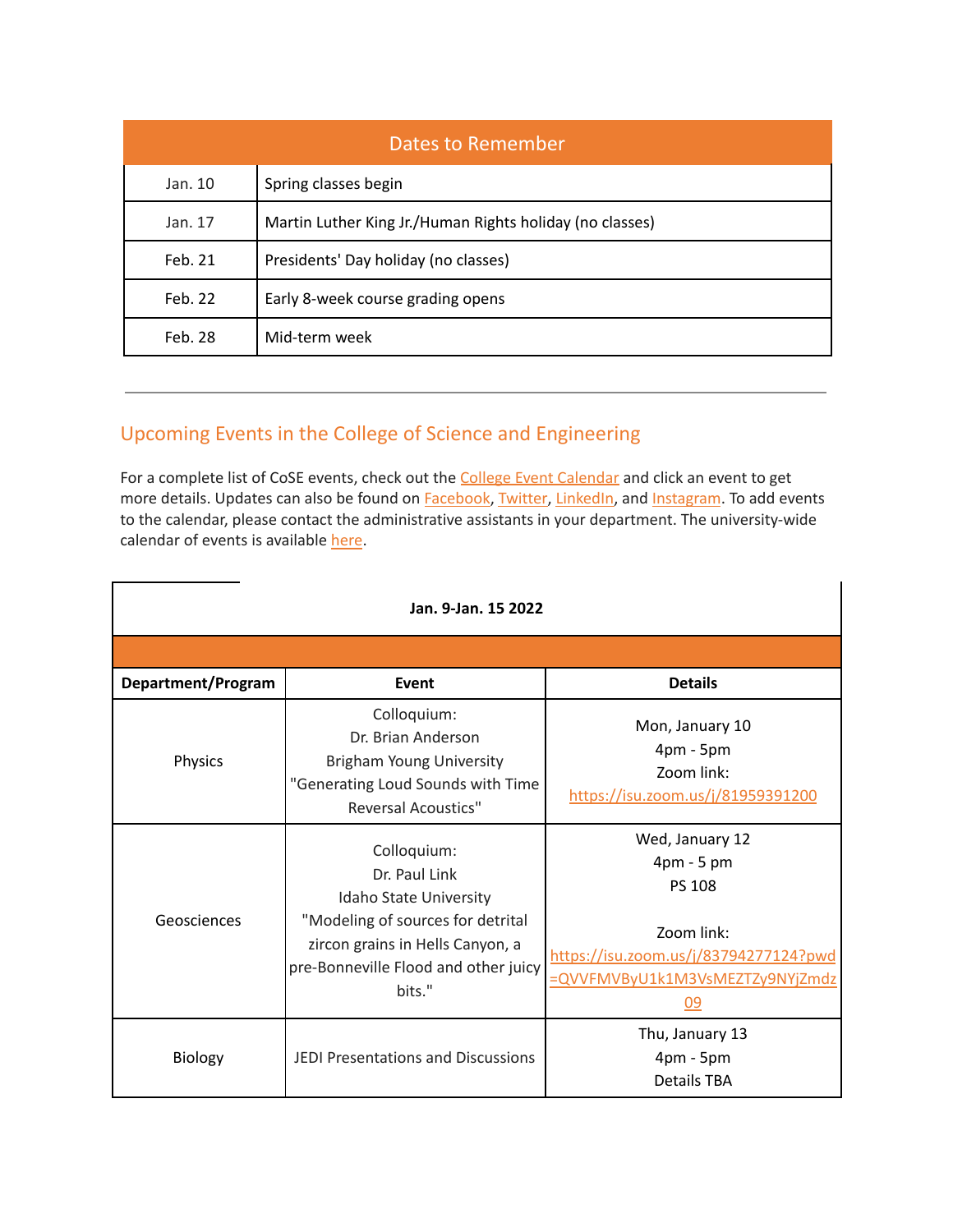| Dates to Remember |                                                          |  |  |
|-------------------|----------------------------------------------------------|--|--|
| Jan. 10           | Spring classes begin                                     |  |  |
| Jan. 17           | Martin Luther King Jr./Human Rights holiday (no classes) |  |  |
| Feb. 21           | Presidents' Day holiday (no classes)                     |  |  |
| Feb. 22           | Early 8-week course grading opens                        |  |  |
| Feb. 28           | Mid-term week                                            |  |  |

# Upcoming Events in the College of Science and Engineering

For a complete list of CoSE events, check out the **College Event [Calendar](https://isu.edu/cse/calendar/)** and click an event to get more details. Updates can also be found on [Facebook](https://www.facebook.com/IdahoStateUCoSE), [Twitter](https://twitter.com/IdahoStateUCoSE), [LinkedIn,](https://www.linkedin.com/company/idaho-state-university-college-of-science-and-engineering) and [Instagram](https://www.instagram.com/idahostateucose/). To add events to the calendar, please contact the administrative assistants in your department. The university-wide calendar of events is available [here](https://www.isu.edu/calendar/).

| Jan. 9-Jan. 15 2022 |                                                                                                                                                                                   |                                                                                                                                                |  |  |
|---------------------|-----------------------------------------------------------------------------------------------------------------------------------------------------------------------------------|------------------------------------------------------------------------------------------------------------------------------------------------|--|--|
|                     |                                                                                                                                                                                   |                                                                                                                                                |  |  |
| Department/Program  | Event                                                                                                                                                                             | <b>Details</b>                                                                                                                                 |  |  |
| Physics             | Colloquium:<br>Dr. Brian Anderson<br><b>Brigham Young University</b><br>"Generating Loud Sounds with Time<br><b>Reversal Acoustics"</b>                                           | Mon, January 10<br>$4pm - 5pm$<br>Zoom link:<br>https://isu.zoom.us/j/81959391200                                                              |  |  |
| Geosciences         | Colloquium:<br>Dr. Paul Link<br>Idaho State University<br>"Modeling of sources for detrital<br>zircon grains in Hells Canyon, a<br>pre-Bonneville Flood and other juicy<br>bits." | Wed, January 12<br>4pm - 5 pm<br><b>PS 108</b><br>Zoom link:<br>https://isu.zoom.us/j/83794277124?pwd<br>=QVVFMVByU1k1M3VsMEZTZy9NYjZmdz<br>09 |  |  |
| <b>Biology</b>      | JEDI Presentations and Discussions                                                                                                                                                | Thu, January 13<br>4pm - 5pm<br><b>Details TBA</b>                                                                                             |  |  |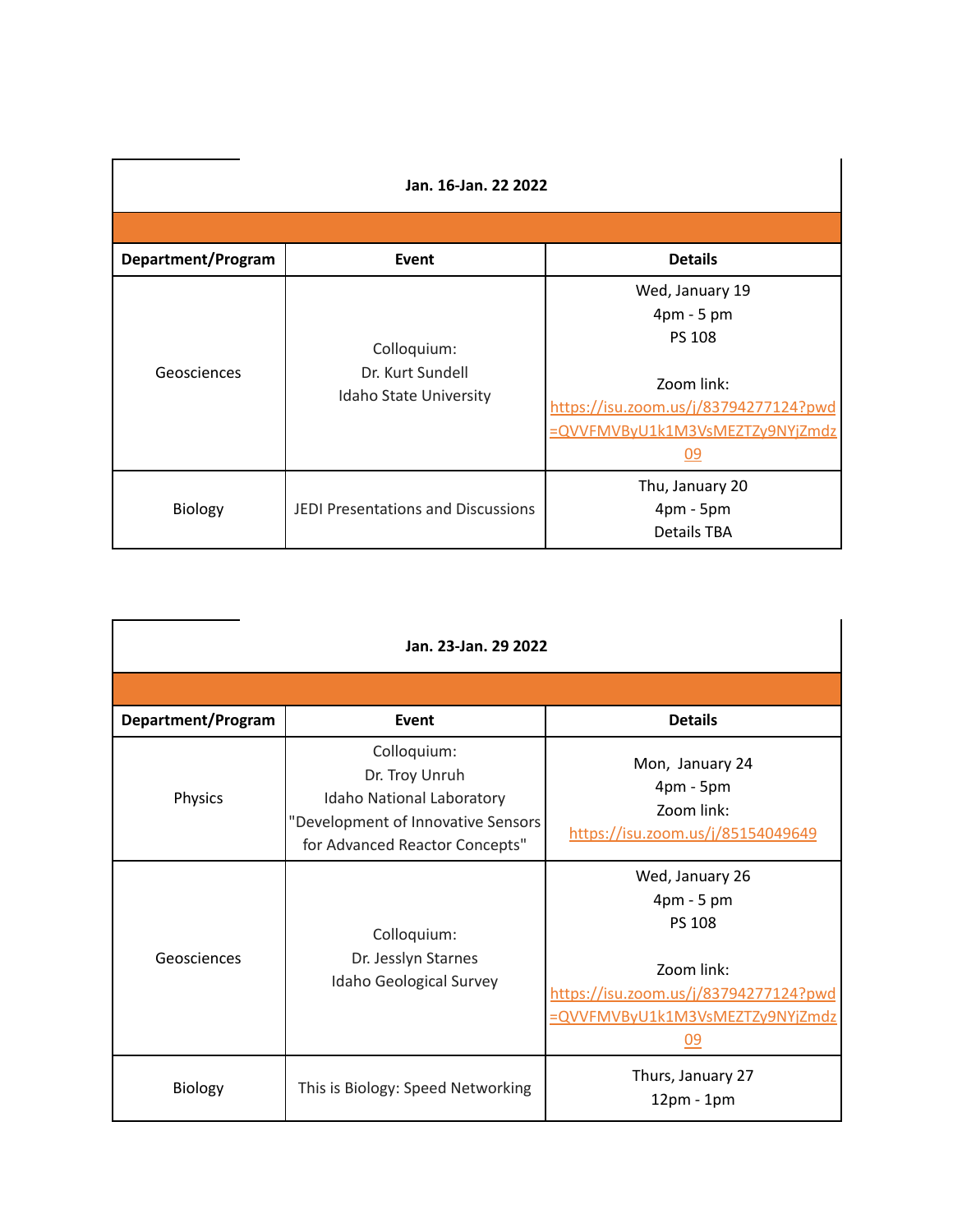| Jan. 16-Jan. 22 2022 |                                                           |                                                                                                                                                |  |  |
|----------------------|-----------------------------------------------------------|------------------------------------------------------------------------------------------------------------------------------------------------|--|--|
|                      |                                                           |                                                                                                                                                |  |  |
| Department/Program   | Event                                                     | <b>Details</b>                                                                                                                                 |  |  |
| Geosciences          | Colloquium:<br>Dr. Kurt Sundell<br>Idaho State University | Wed, January 19<br>4pm - 5 pm<br><b>PS 108</b><br>Zoom link:<br>https://isu.zoom.us/j/83794277124?pwd<br>=QVVFMVByU1k1M3VsMEZTZy9NYjZmdz<br>09 |  |  |
| Biology              | JEDI Presentations and Discussions                        | Thu, January 20<br>$4pm - 5pm$<br><b>Details TBA</b>                                                                                           |  |  |

| Jan. 23-Jan. 29 2022 |                                                                                                                                           |                                                                                                                                                                 |  |  |
|----------------------|-------------------------------------------------------------------------------------------------------------------------------------------|-----------------------------------------------------------------------------------------------------------------------------------------------------------------|--|--|
|                      |                                                                                                                                           |                                                                                                                                                                 |  |  |
| Department/Program   | Event                                                                                                                                     | <b>Details</b>                                                                                                                                                  |  |  |
| Physics              | Colloquium:<br>Dr. Troy Unruh<br><b>Idaho National Laboratory</b><br>"Development of Innovative Sensors<br>for Advanced Reactor Concepts" | Mon, January 24<br>$4pm - 5pm$<br>Zoom link:<br>https://isu.zoom.us/j/85154049649                                                                               |  |  |
| Geosciences          | Colloquium:<br>Dr. Jesslyn Starnes<br>Idaho Geological Survey                                                                             | Wed, January 26<br>$4 \text{pm} - 5 \text{pm}$<br><b>PS 108</b><br>Zoom link:<br>https://isu.zoom.us/j/83794277124?pwd<br>=QVVFMVByU1k1M3VsMEZTZy9NYjZmdz<br>09 |  |  |
| Biology              | This is Biology: Speed Networking                                                                                                         | Thurs, January 27<br>$12pm - 1pm$                                                                                                                               |  |  |